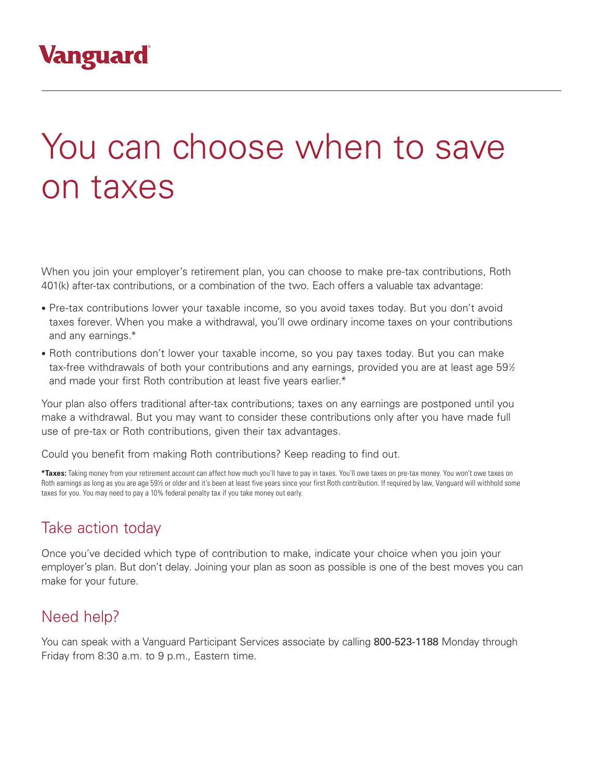# You can choose when to save on taxes

When you join your employer's retirement plan, you can choose to make pre-tax contributions, Roth 401(k) after-tax contributions, or a combination of the two. Each offers a valuable tax advantage:

- Pre-tax contributions lower your taxable income, so you avoid taxes today. But you don't avoid taxes forever. When you make a withdrawal, you'll owe ordinary income taxes on your contributions and any earnings.\*
- Roth contributions don't lower your taxable income, so you pay taxes today. But you can make tax-free withdrawals of both your contributions and any earnings, provided you are at least age 59½ and made your first Roth contribution at least five years earlier.\*

Your plan also offers traditional after-tax contributions; taxes on any earnings are postponed until you make a withdrawal. But you may want to consider these contributions only after you have made full use of pre-tax or Roth contributions, given their tax advantages.

Could you benefit from making Roth contributions? Keep reading to find out.

**\*Taxes:** Taking money from your retirement account can affect how much you'll have to pay in taxes. You'll owe taxes on pre-tax money. You won't owe taxes on Roth earnings as long as you are age 59½ or older and it's been at least five years since your first Roth contribution. If required by law, Vanguard will withhold some taxes for you. You may need to pay a 10% federal penalty tax if you take money out early.

## Take action today

Once you've decided which type of contribution to make, indicate your choice when you join your employer's plan. But don't delay. Joining your plan as soon as possible is one of the best moves you can make for your future.

## Need help?

You can speak with a Vanguard Participant Services associate by calling 800-523-1188 Monday through Friday from 8:30 a.m. to 9 p.m., Eastern time.